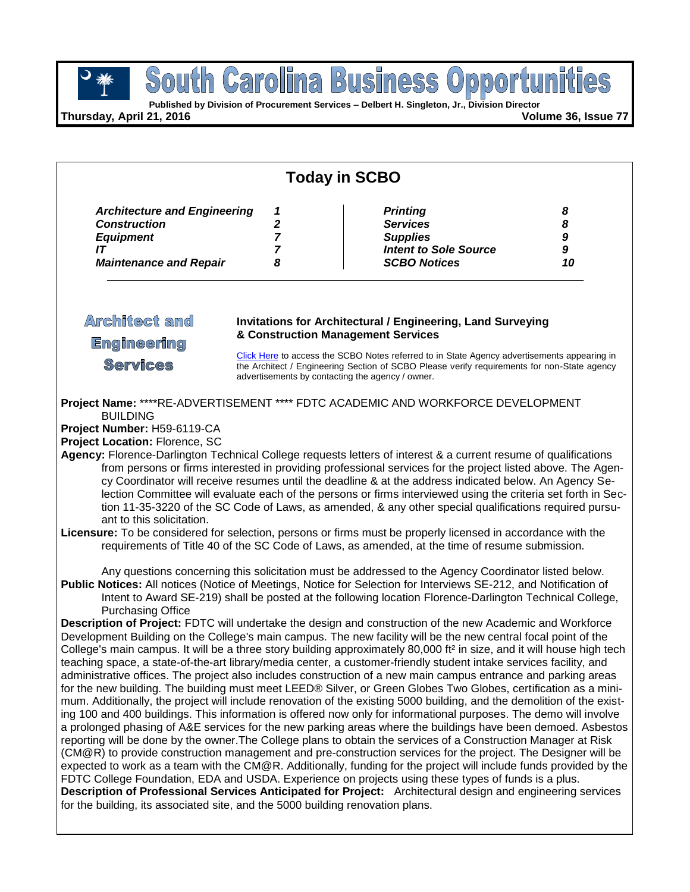**Published by Division of Procurement Services – Delbert H. Singleton, Jr., Division Director**

**Thursday, April 21, 2016 Volume 36, Issue 77**

| <b>Today in SCBO</b>                                                                                                  |                                                                                                                                                                                                                                                                                                                                                            |                                                                                                                                                                                                                                                                                                                                                                                                                                                                                                                                                                                                                                                                                                                                                                                                                                                                                                                                                                                                                                                                                                                                                                                                                                                                                                                                                                                                                                                                                                                                                                                                                                                                                                                                                                                                                                                                                                             |                                       |  |  |
|-----------------------------------------------------------------------------------------------------------------------|------------------------------------------------------------------------------------------------------------------------------------------------------------------------------------------------------------------------------------------------------------------------------------------------------------------------------------------------------------|-------------------------------------------------------------------------------------------------------------------------------------------------------------------------------------------------------------------------------------------------------------------------------------------------------------------------------------------------------------------------------------------------------------------------------------------------------------------------------------------------------------------------------------------------------------------------------------------------------------------------------------------------------------------------------------------------------------------------------------------------------------------------------------------------------------------------------------------------------------------------------------------------------------------------------------------------------------------------------------------------------------------------------------------------------------------------------------------------------------------------------------------------------------------------------------------------------------------------------------------------------------------------------------------------------------------------------------------------------------------------------------------------------------------------------------------------------------------------------------------------------------------------------------------------------------------------------------------------------------------------------------------------------------------------------------------------------------------------------------------------------------------------------------------------------------------------------------------------------------------------------------------------------------|---------------------------------------|--|--|
| <b>Architecture and Engineering</b><br><b>Construction</b><br><b>Equipment</b><br>IT<br><b>Maintenance and Repair</b> | 1<br>2<br>7<br>7<br>8                                                                                                                                                                                                                                                                                                                                      | <b>Printing</b><br><b>Services</b><br><b>Supplies</b><br><b>Intent to Sole Source</b><br><b>SCBO Notices</b>                                                                                                                                                                                                                                                                                                                                                                                                                                                                                                                                                                                                                                                                                                                                                                                                                                                                                                                                                                                                                                                                                                                                                                                                                                                                                                                                                                                                                                                                                                                                                                                                                                                                                                                                                                                                | 8<br>8<br>$\boldsymbol{9}$<br>9<br>10 |  |  |
| <b>Architect and</b><br><b>Engineering</b><br><b>Services</b>                                                         | <b>Invitations for Architectural / Engineering, Land Surveying</b><br>& Construction Management Services<br>Click Here to access the SCBO Notes referred to in State Agency advertisements appearing in<br>the Architect / Engineering Section of SCBO Please verify requirements for non-State agency<br>advertisements by contacting the agency / owner. |                                                                                                                                                                                                                                                                                                                                                                                                                                                                                                                                                                                                                                                                                                                                                                                                                                                                                                                                                                                                                                                                                                                                                                                                                                                                                                                                                                                                                                                                                                                                                                                                                                                                                                                                                                                                                                                                                                             |                                       |  |  |
| <b>BUILDING</b><br>Project Number: H59-6119-CA<br>Project Location: Florence, SC<br>ant to this solicitation.         |                                                                                                                                                                                                                                                                                                                                                            | Project Name: ****RE-ADVERTISEMENT **** FDTC ACADEMIC AND WORKFORCE DEVELOPMENT<br>Agency: Florence-Darlington Technical College requests letters of interest & a current resume of qualifications<br>from persons or firms interested in providing professional services for the project listed above. The Agen-<br>cy Coordinator will receive resumes until the deadline & at the address indicated below. An Agency Se-<br>lection Committee will evaluate each of the persons or firms interviewed using the criteria set forth in Sec-<br>tion 11-35-3220 of the SC Code of Laws, as amended, & any other special qualifications required pursu-<br>Licensure: To be considered for selection, persons or firms must be properly licensed in accordance with the<br>requirements of Title 40 of the SC Code of Laws, as amended, at the time of resume submission.<br>Any questions concerning this solicitation must be addressed to the Agency Coordinator listed below.                                                                                                                                                                                                                                                                                                                                                                                                                                                                                                                                                                                                                                                                                                                                                                                                                                                                                                                            |                                       |  |  |
| <b>Purchasing Office</b><br>for the building, its associated site, and the 5000 building renovation plans.            |                                                                                                                                                                                                                                                                                                                                                            | Public Notices: All notices (Notice of Meetings, Notice for Selection for Interviews SE-212, and Notification of<br>Intent to Award SE-219) shall be posted at the following location Florence-Darlington Technical College,<br>Description of Project: FDTC will undertake the design and construction of the new Academic and Workforce<br>Development Building on the College's main campus. The new facility will be the new central focal point of the<br>College's main campus. It will be a three story building approximately 80,000 ft <sup>2</sup> in size, and it will house high tech<br>teaching space, a state-of-the-art library/media center, a customer-friendly student intake services facility, and<br>administrative offices. The project also includes construction of a new main campus entrance and parking areas<br>for the new building. The building must meet LEED® Silver, or Green Globes Two Globes, certification as a mini-<br>mum. Additionally, the project will include renovation of the existing 5000 building, and the demolition of the exist-<br>ing 100 and 400 buildings. This information is offered now only for informational purposes. The demo will involve<br>a prolonged phasing of A&E services for the new parking areas where the buildings have been demoed. Asbestos<br>reporting will be done by the owner. The College plans to obtain the services of a Construction Manager at Risk<br>(CM@R) to provide construction management and pre-construction services for the project. The Designer will be<br>expected to work as a team with the CM@R. Additionally, funding for the project will include funds provided by the<br>FDTC College Foundation, EDA and USDA. Experience on projects using these types of funds is a plus.<br>Description of Professional Services Anticipated for Project: Architectural design and engineering services |                                       |  |  |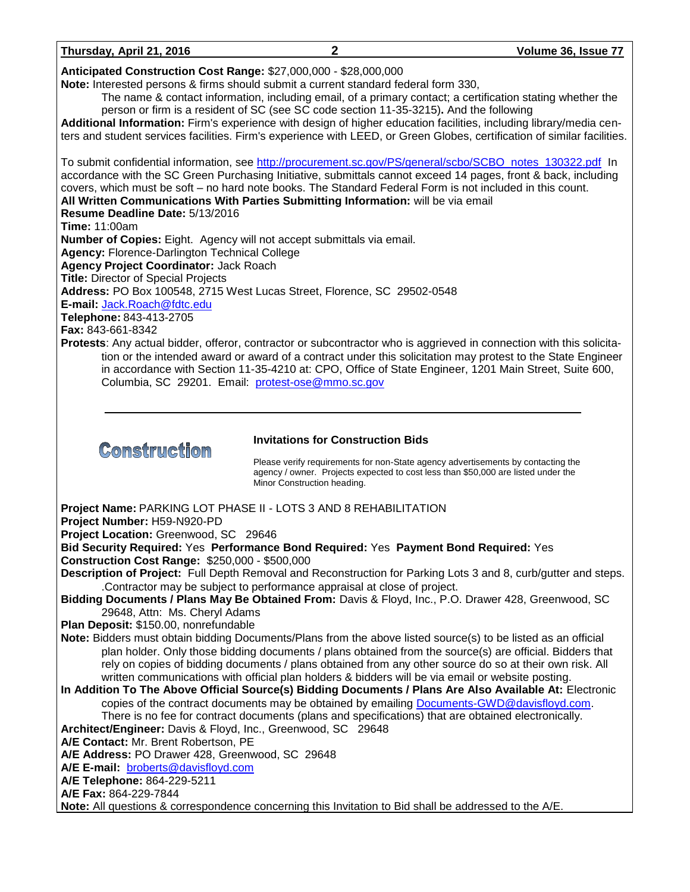| Thursday, April 21, 2016 | Volume 36, Issue 77 |
|--------------------------|---------------------|
|                          |                     |

**Anticipated Construction Cost Range:** \$27,000,000 - \$28,000,000

**Note:** Interested persons & firms should submit a current standard federal form 330,

The name & contact information, including email, of a primary contact; a certification stating whether the person or firm is a resident of SC (see SC code section 11-35-3215)**.** And the following

**Additional Information:** Firm's experience with design of higher education facilities, including library/media centers and student services facilities. Firm's experience with LEED, or Green Globes, certification of similar facilities.

To submit confidential information, see [http://procurement.sc.gov/PS/general/scbo/SCBO\\_notes\\_130322.pdf](http://procurement.sc.gov/PS/general/scbo/SCBO_notes_130322.pdf) In accordance with the SC Green Purchasing Initiative, submittals cannot exceed 14 pages, front & back, including covers, which must be soft – no hard note books. The Standard Federal Form is not included in this count. **All Written Communications With Parties Submitting Information:** will be via email **Resume Deadline Date:** 5/13/2016 **Time:** 11:00am **Number of Copies:** Eight. Agency will not accept submittals via email. **Agency:** Florence-Darlington Technical College **Agency Project Coordinator:** Jack Roach **Title:** Director of Special Projects **Address:** PO Box 100548, 2715 West Lucas Street, Florence, SC 29502-0548 **E-mail:** [Jack.Roach@fdtc.edu](mailto:Jack.Roach@fdtc.edu) **Telephone:** 843-413-2705 **Fax:** 843-661-8342 **Protests**: Any actual bidder, offeror, contractor or subcontractor who is aggrieved in connection with this solicitation or the intended award or award of a contract under this solicitation may protest to the State Engineer

in accordance with Section 11-35-4210 at: CPO, Office of State Engineer, 1201 Main Street, Suite 600, Columbia, SC 29201. Email: [protest-ose@mmo.sc.gov](mailto:protest-ose@mmo.sc.gov)



### **Invitations for Construction Bids**

Please verify requirements for non-State agency advertisements by contacting the agency / owner. Projects expected to cost less than \$50,000 are listed under the Minor Construction heading.

**Project Name:** PARKING LOT PHASE II - LOTS 3 AND 8 REHABILITATION

**Project Number:** H59-N920-PD

**Project Location:** Greenwood, SC 29646

**Bid Security Required:** Yes **Performance Bond Required:** Yes **Payment Bond Required:** Yes

**Construction Cost Range:** \$250,000 - \$500,000

- **Description of Project:** Full Depth Removal and Reconstruction for Parking Lots 3 and 8, curb/gutter and steps. .Contractor may be subject to performance appraisal at close of project.
- **Bidding Documents / Plans May Be Obtained From:** Davis & Floyd, Inc., P.O. Drawer 428, Greenwood, SC 29648, Attn: Ms. Cheryl Adams

**Plan Deposit:** \$150.00, nonrefundable

**Note:** Bidders must obtain bidding Documents/Plans from the above listed source(s) to be listed as an official plan holder. Only those bidding documents / plans obtained from the source(s) are official. Bidders that rely on copies of bidding documents / plans obtained from any other source do so at their own risk. All written communications with official plan holders & bidders will be via email or website posting.

**In Addition To The Above Official Source(s) Bidding Documents / Plans Are Also Available At:** Electronic copies of the contract documents may be obtained by emailing [Documents-GWD@davisfloyd.com.](mailto:Documents-GWD@davisfloyd.com) There is no fee for contract documents (plans and specifications) that are obtained electronically.

**Architect/Engineer:** Davis & Floyd, Inc., Greenwood, SC 29648

**A/E Contact:** Mr. Brent Robertson, PE

**A/E Address:** PO Drawer 428, Greenwood, SC 29648

**A/E E-mail:** [broberts@davisfloyd.com](mailto:broberts@davisfloyd.com)

**A/E Telephone:** 864-229-5211

**A/E Fax:** 864-229-7844

**Note:** All questions & correspondence concerning this Invitation to Bid shall be addressed to the A/E.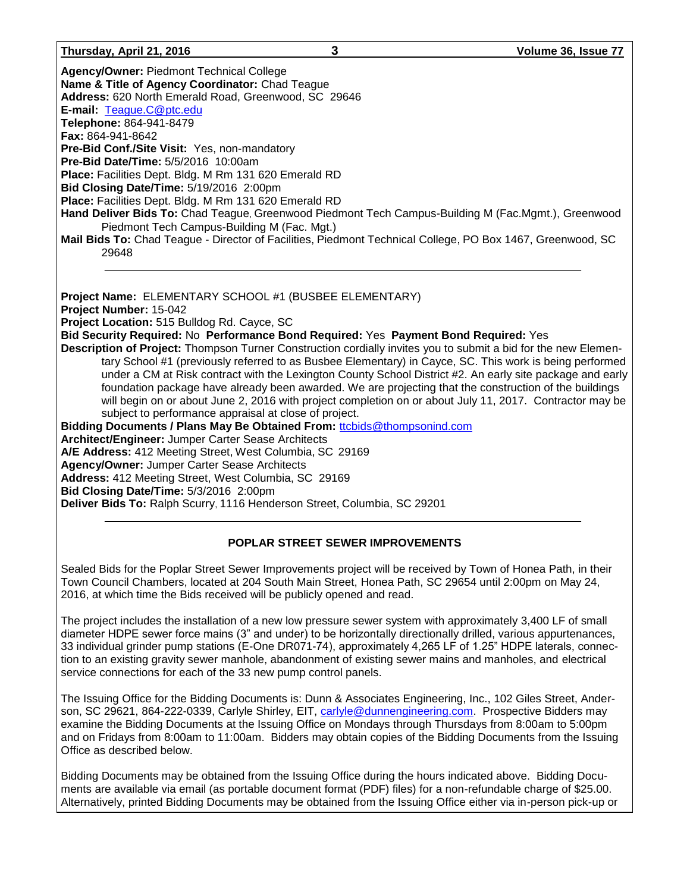#### **Thursday, April 21, 2016 3 Volume 36, Issue 77**

**Agency/Owner:** Piedmont Technical College **Name & Title of Agency Coordinator:** Chad Teague **Address:** 620 North Emerald Road, Greenwood, SC 29646 **E-mail:** [Teague.C@ptc.edu](mailto:Teague.C@ptc.edu) **Telephone:** 864-941-8479 **Fax:** 864-941-8642 **Pre-Bid Conf./Site Visit:** Yes, non-mandatory **Pre-Bid Date/Time:** 5/5/2016 10:00am **Place:** Facilities Dept. Bldg. M Rm 131 620 Emerald RD **Bid Closing Date/Time:** 5/19/2016 2:00pm **Place:** Facilities Dept. Bldg. M Rm 131 620 Emerald RD **Hand Deliver Bids To:** Chad Teague, Greenwood Piedmont Tech Campus-Building M (Fac.Mgmt.), Greenwood Piedmont Tech Campus-Building M (Fac. Mgt.) **Mail Bids To:** Chad Teague - Director of Facilities, Piedmont Technical College, PO Box 1467, Greenwood, SC 29648 **Project Name:** ELEMENTARY SCHOOL #1 (BUSBEE ELEMENTARY) **Project Number:** 15-042 **Project Location:** 515 Bulldog Rd. Cayce, SC **Bid Security Required:** No **Performance Bond Required:** Yes **Payment Bond Required:** Yes **Description of Project:** Thompson Turner Construction cordially invites you to submit a bid for the new Elementary School #1 (previously referred to as Busbee Elementary) in Cayce, SC. This work is being performed under a CM at Risk contract with the Lexington County School District #2. An early site package and early foundation package have already been awarded. We are projecting that the construction of the buildings will begin on or about June 2, 2016 with project completion on or about July 11, 2017.Contractor may be subject to performance appraisal at close of project. **Bidding Documents / Plans May Be Obtained From:** [ttcbids@thompsonind.com](mailto:ttcbids@thompsonind.com) **Architect/Engineer:** Jumper Carter Sease Architects **A/E Address:** 412 Meeting Street, West Columbia, SC 29169 **Agency/Owner:** Jumper Carter Sease Architects **Address:** 412 Meeting Street, West Columbia, SC 29169 **Bid Closing Date/Time:** 5/3/2016 2:00pm

**Deliver Bids To:** Ralph Scurry, 1116 Henderson Street, Columbia, SC 29201

### **POPLAR STREET SEWER IMPROVEMENTS**

Sealed Bids for the Poplar Street Sewer Improvements project will be received by Town of Honea Path, in their Town Council Chambers, located at 204 South Main Street, Honea Path, SC 29654 until 2:00pm on May 24, 2016, at which time the Bids received will be publicly opened and read.

The project includes the installation of a new low pressure sewer system with approximately 3,400 LF of small diameter HDPE sewer force mains (3" and under) to be horizontally directionally drilled, various appurtenances, 33 individual grinder pump stations (E-One DR071-74), approximately 4,265 LF of 1.25" HDPE laterals, connection to an existing gravity sewer manhole, abandonment of existing sewer mains and manholes, and electrical service connections for each of the 33 new pump control panels.

The Issuing Office for the Bidding Documents is: Dunn & Associates Engineering, Inc., 102 Giles Street, Anderson, SC 29621, 864-222-0339, Carlyle Shirley, EIT, [carlyle@dunnengineering.com.](mailto:carlyle@dunnengineering.com) Prospective Bidders may examine the Bidding Documents at the Issuing Office on Mondays through Thursdays from 8:00am to 5:00pm and on Fridays from 8:00am to 11:00am. Bidders may obtain copies of the Bidding Documents from the Issuing Office as described below.

Bidding Documents may be obtained from the Issuing Office during the hours indicated above. Bidding Documents are available via email (as portable document format (PDF) files) for a non-refundable charge of \$25.00. Alternatively, printed Bidding Documents may be obtained from the Issuing Office either via in-person pick-up or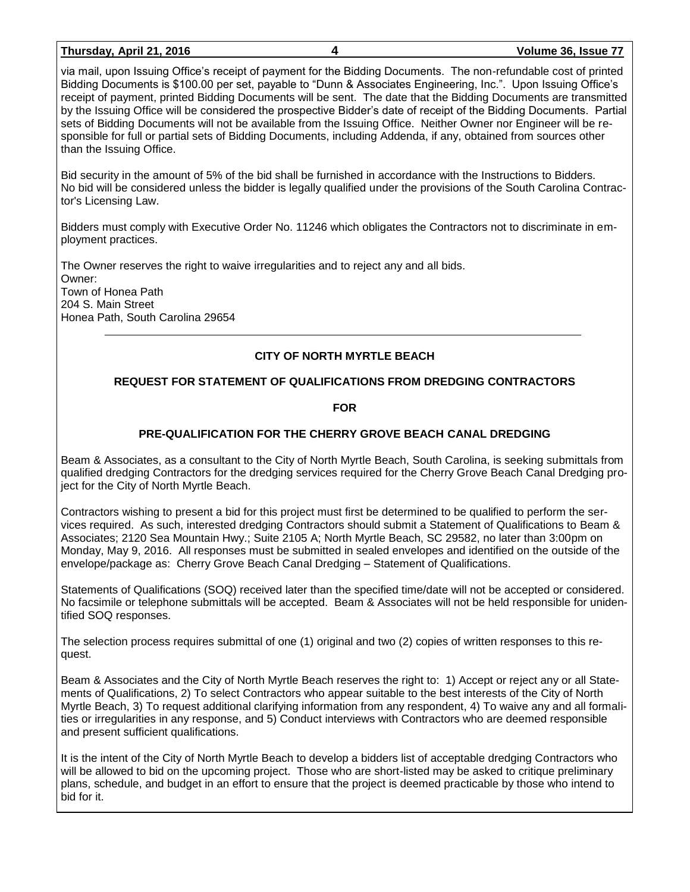#### **Thursday, April 21, 2016 4 Volume 36, Issue 77**

via mail, upon Issuing Office's receipt of payment for the Bidding Documents. The non-refundable cost of printed Bidding Documents is \$100.00 per set, payable to "Dunn & Associates Engineering, Inc.". Upon Issuing Office's receipt of payment, printed Bidding Documents will be sent. The date that the Bidding Documents are transmitted by the Issuing Office will be considered the prospective Bidder's date of receipt of the Bidding Documents. Partial sets of Bidding Documents will not be available from the Issuing Office. Neither Owner nor Engineer will be responsible for full or partial sets of Bidding Documents, including Addenda, if any, obtained from sources other than the Issuing Office.

Bid security in the amount of 5% of the bid shall be furnished in accordance with the Instructions to Bidders. No bid will be considered unless the bidder is legally qualified under the provisions of the South Carolina Contractor's Licensing Law.

Bidders must comply with Executive Order No. 11246 which obligates the Contractors not to discriminate in employment practices.

The Owner reserves the right to waive irregularities and to reject any and all bids. Owner: Town of Honea Path 204 S. Main Street Honea Path, South Carolina 29654

### **CITY OF NORTH MYRTLE BEACH**

### **REQUEST FOR STATEMENT OF QUALIFICATIONS FROM DREDGING CONTRACTORS**

### **FOR**

### **PRE-QUALIFICATION FOR THE CHERRY GROVE BEACH CANAL DREDGING**

Beam & Associates, as a consultant to the City of North Myrtle Beach, South Carolina, is seeking submittals from qualified dredging Contractors for the dredging services required for the Cherry Grove Beach Canal Dredging project for the City of North Myrtle Beach.

Contractors wishing to present a bid for this project must first be determined to be qualified to perform the services required. As such, interested dredging Contractors should submit a Statement of Qualifications to Beam & Associates; 2120 Sea Mountain Hwy.; Suite 2105 A; North Myrtle Beach, SC 29582, no later than 3:00pm on Monday, May 9, 2016. All responses must be submitted in sealed envelopes and identified on the outside of the envelope/package as: Cherry Grove Beach Canal Dredging – Statement of Qualifications.

Statements of Qualifications (SOQ) received later than the specified time/date will not be accepted or considered. No facsimile or telephone submittals will be accepted. Beam & Associates will not be held responsible for unidentified SOQ responses.

The selection process requires submittal of one (1) original and two (2) copies of written responses to this request.

Beam & Associates and the City of North Myrtle Beach reserves the right to: 1) Accept or reject any or all Statements of Qualifications, 2) To select Contractors who appear suitable to the best interests of the City of North Myrtle Beach, 3) To request additional clarifying information from any respondent, 4) To waive any and all formalities or irregularities in any response, and 5) Conduct interviews with Contractors who are deemed responsible and present sufficient qualifications.

It is the intent of the City of North Myrtle Beach to develop a bidders list of acceptable dredging Contractors who will be allowed to bid on the upcoming project. Those who are short-listed may be asked to critique preliminary plans, schedule, and budget in an effort to ensure that the project is deemed practicable by those who intend to bid for it.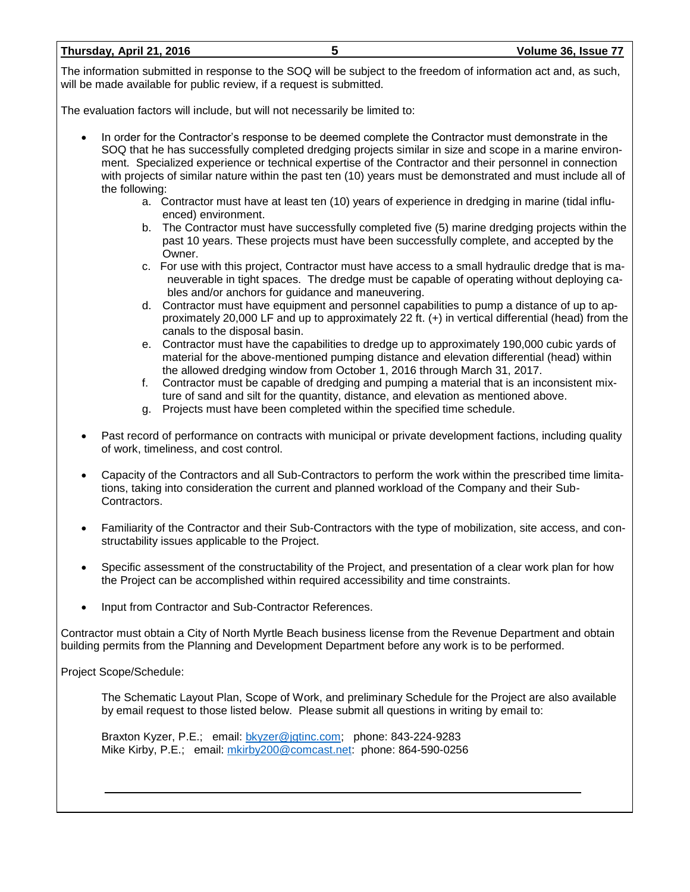#### **Thursday, April 21, 2016 5 Volume 36, Issue 77**

The information submitted in response to the SOQ will be subject to the freedom of information act and, as such, will be made available for public review, if a request is submitted.

The evaluation factors will include, but will not necessarily be limited to:

- In order for the Contractor's response to be deemed complete the Contractor must demonstrate in the SOQ that he has successfully completed dredging projects similar in size and scope in a marine environment. Specialized experience or technical expertise of the Contractor and their personnel in connection with projects of similar nature within the past ten (10) years must be demonstrated and must include all of the following:
	- a. Contractor must have at least ten (10) years of experience in dredging in marine (tidal influenced) environment.
	- b. The Contractor must have successfully completed five (5) marine dredging projects within the past 10 years. These projects must have been successfully complete, and accepted by the Owner.
	- c. For use with this project, Contractor must have access to a small hydraulic dredge that is maneuverable in tight spaces. The dredge must be capable of operating without deploying cables and/or anchors for guidance and maneuvering.
	- d. Contractor must have equipment and personnel capabilities to pump a distance of up to approximately 20,000 LF and up to approximately 22 ft. (+) in vertical differential (head) from the canals to the disposal basin.
	- e. Contractor must have the capabilities to dredge up to approximately 190,000 cubic yards of material for the above-mentioned pumping distance and elevation differential (head) within the allowed dredging window from October 1, 2016 through March 31, 2017.
	- f. Contractor must be capable of dredging and pumping a material that is an inconsistent mixture of sand and silt for the quantity, distance, and elevation as mentioned above.
	- g. Projects must have been completed within the specified time schedule.
- Past record of performance on contracts with municipal or private development factions, including quality of work, timeliness, and cost control.
- Capacity of the Contractors and all Sub-Contractors to perform the work within the prescribed time limitations, taking into consideration the current and planned workload of the Company and their Sub-Contractors.
- Familiarity of the Contractor and their Sub-Contractors with the type of mobilization, site access, and constructability issues applicable to the Project.
- Specific assessment of the constructability of the Project, and presentation of a clear work plan for how the Project can be accomplished within required accessibility and time constraints.
- Input from Contractor and Sub-Contractor References.

Contractor must obtain a City of North Myrtle Beach business license from the Revenue Department and obtain building permits from the Planning and Development Department before any work is to be performed.

Project Scope/Schedule:

The Schematic Layout Plan, Scope of Work, and preliminary Schedule for the Project are also available by email request to those listed below. Please submit all questions in writing by email to:

Braxton Kyzer, P.E.; email: [bkyzer@jgtinc.com;](mailto:bkyzer@jgtinc.com) phone: 843-224-9283 Mike Kirby, P.E.; email: [mkirby200@comcast.net:](mailto:mkirby200@comcast.net) phone: 864-590-0256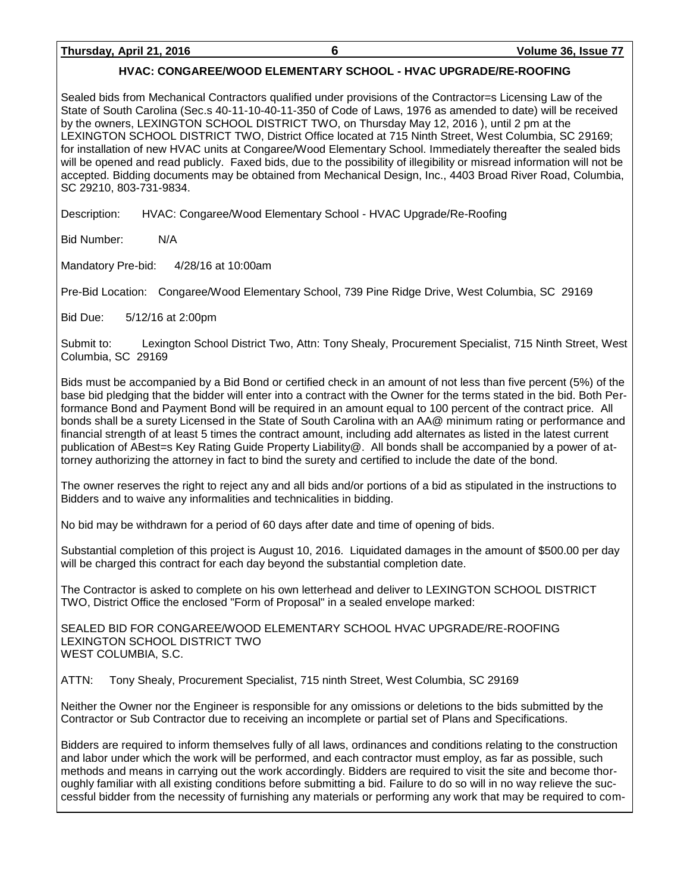### **HVAC: CONGAREE/WOOD ELEMENTARY SCHOOL - HVAC UPGRADE/RE-ROOFING**

Sealed bids from Mechanical Contractors qualified under provisions of the Contractor=s Licensing Law of the State of South Carolina (Sec.s 40-11-10-40-11-350 of Code of Laws, 1976 as amended to date) will be received by the owners, LEXINGTON SCHOOL DISTRICT TWO, on Thursday May 12, 2016 ), until 2 pm at the LEXINGTON SCHOOL DISTRICT TWO, District Office located at 715 Ninth Street, West Columbia, SC 29169; for installation of new HVAC units at Congaree/Wood Elementary School. Immediately thereafter the sealed bids will be opened and read publicly. Faxed bids, due to the possibility of illegibility or misread information will not be accepted. Bidding documents may be obtained from Mechanical Design, Inc., 4403 Broad River Road, Columbia, SC 29210, 803-731-9834.

Description: HVAC: Congaree/Wood Elementary School - HVAC Upgrade/Re-Roofing

Bid Number: N/A

Mandatory Pre-bid: 4/28/16 at 10:00am

Pre-Bid Location: Congaree/Wood Elementary School, 739 Pine Ridge Drive, West Columbia, SC 29169

Bid Due: 5/12/16 at 2:00pm

Submit to: Lexington School District Two, Attn: Tony Shealy, Procurement Specialist, 715 Ninth Street, West Columbia, SC 29169

Bids must be accompanied by a Bid Bond or certified check in an amount of not less than five percent (5%) of the base bid pledging that the bidder will enter into a contract with the Owner for the terms stated in the bid. Both Performance Bond and Payment Bond will be required in an amount equal to 100 percent of the contract price. All bonds shall be a surety Licensed in the State of South Carolina with an AA@ minimum rating or performance and financial strength of at least 5 times the contract amount, including add alternates as listed in the latest current publication of ABest=s Key Rating Guide Property Liability@. All bonds shall be accompanied by a power of attorney authorizing the attorney in fact to bind the surety and certified to include the date of the bond.

The owner reserves the right to reject any and all bids and/or portions of a bid as stipulated in the instructions to Bidders and to waive any informalities and technicalities in bidding.

No bid may be withdrawn for a period of 60 days after date and time of opening of bids.

Substantial completion of this project is August 10, 2016. Liquidated damages in the amount of \$500.00 per day will be charged this contract for each day beyond the substantial completion date.

The Contractor is asked to complete on his own letterhead and deliver to LEXINGTON SCHOOL DISTRICT TWO, District Office the enclosed "Form of Proposal" in a sealed envelope marked:

SEALED BID FOR CONGAREE/WOOD ELEMENTARY SCHOOL HVAC UPGRADE/RE-ROOFING LEXINGTON SCHOOL DISTRICT TWO WEST COLUMBIA, S.C.

ATTN: Tony Shealy, Procurement Specialist, 715 ninth Street, West Columbia, SC 29169

Neither the Owner nor the Engineer is responsible for any omissions or deletions to the bids submitted by the Contractor or Sub Contractor due to receiving an incomplete or partial set of Plans and Specifications.

Bidders are required to inform themselves fully of all laws, ordinances and conditions relating to the construction and labor under which the work will be performed, and each contractor must employ, as far as possible, such methods and means in carrying out the work accordingly. Bidders are required to visit the site and become thoroughly familiar with all existing conditions before submitting a bid. Failure to do so will in no way relieve the successful bidder from the necessity of furnishing any materials or performing any work that may be required to com-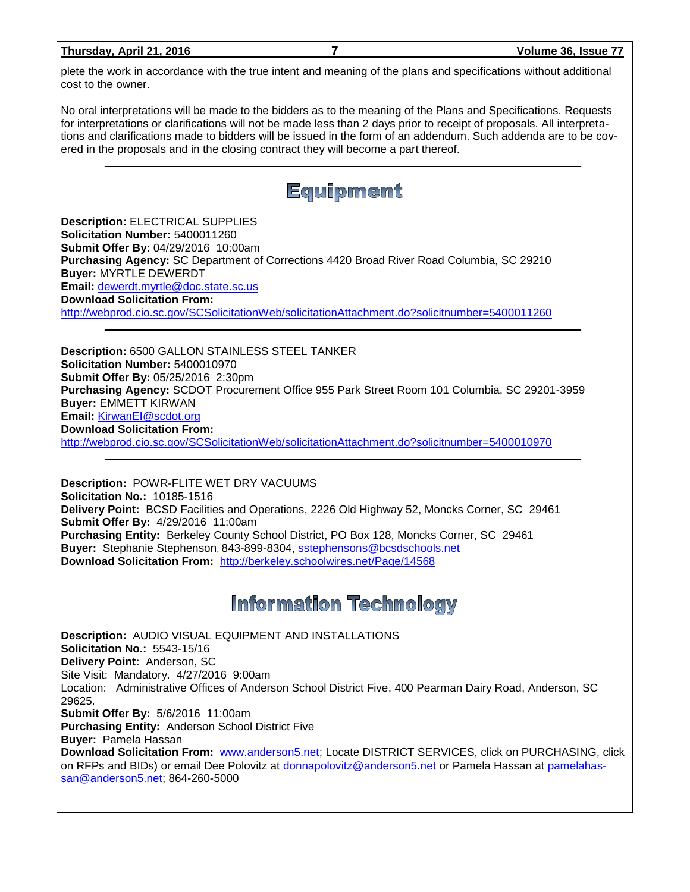| Thursday, April 21, 2016 |  |  |
|--------------------------|--|--|
|                          |  |  |

plete the work in accordance with the true intent and meaning of the plans and specifications without additional cost to the owner.

No oral interpretations will be made to the bidders as to the meaning of the Plans and Specifications. Requests for interpretations or clarifications will not be made less than 2 days prior to receipt of proposals. All interpretations and clarifications made to bidders will be issued in the form of an addendum. Such addenda are to be covered in the proposals and in the closing contract they will become a part thereof.



**Description:** ELECTRICAL SUPPLIES **Solicitation Number:** 5400011260 **Submit Offer By:** 04/29/2016 10:00am **Purchasing Agency:** SC Department of Corrections 4420 Broad River Road Columbia, SC 29210 **Buyer:** MYRTLE DEWERDT **Email:** [dewerdt.myrtle@doc.state.sc.us](mailto:dewerdt.myrtle@doc.state.sc.us) **Download Solicitation From:**  <http://webprod.cio.sc.gov/SCSolicitationWeb/solicitationAttachment.do?solicitnumber=5400011260>

**Description:** 6500 GALLON STAINLESS STEEL TANKER **Solicitation Number:** 5400010970 **Submit Offer By:** 05/25/2016 2:30pm **Purchasing Agency:** SCDOT Procurement Office 955 Park Street Room 101 Columbia, SC 29201-3959 **Buyer:** EMMETT KIRWAN **Email:** [KirwanEI@scdot.org](mailto:KirwanEI@scdot.org) **Download Solicitation From:**  <http://webprod.cio.sc.gov/SCSolicitationWeb/solicitationAttachment.do?solicitnumber=5400010970>

**Description:** POWR-FLITE WET DRY VACUUMS **Solicitation No.:** 10185-1516 **Delivery Point:** BCSD Facilities and Operations, 2226 Old Highway 52, Moncks Corner, SC 29461 **Submit Offer By:** 4/29/2016 11:00am **Purchasing Entity:** Berkeley County School District, PO Box 128, Moncks Corner, SC 29461 **Buyer:** Stephanie Stephenson, 843-899-8304, [sstephensons@bcsdschools.net](mailto:sstephensons@bcsdschools.net) **Download Solicitation From:** <http://berkeley.schoolwires.net/Page/14568>

## **Information Technology**

**Description:** AUDIO VISUAL EQUIPMENT AND INSTALLATIONS **Solicitation No.:** 5543-15/16 **Delivery Point:** Anderson, SC Site Visit: Mandatory. 4/27/2016 9:00am Location: Administrative Offices of Anderson School District Five, 400 Pearman Dairy Road, Anderson, SC 29625. **Submit Offer By:** 5/6/2016 11:00am **Purchasing Entity:** Anderson School District Five **Buyer:** Pamela Hassan **Download Solicitation From:** [www.anderson5.net;](http://www.anderson5.net/) Locate DISTRICT SERVICES, click on PURCHASING, click on RFPs and BIDs) or email Dee Polovitz at [donnapolovitz@anderson5.net](mailto:donnapolovitz@anderson5.net) or Pamela Hassan at [pamelahas](mailto:pamelahassan@anderson5.net)[san@anderson5.net;](mailto:pamelahassan@anderson5.net) 864-260-5000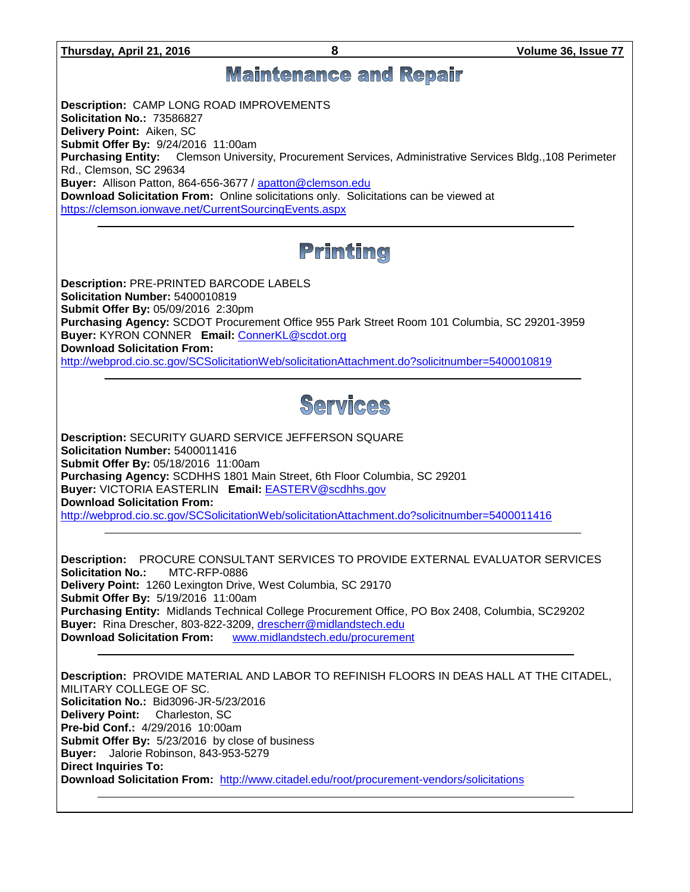**Thursday, April 21, 2016 8 Volume 36, Issue 77 Maintenance and Repair Description:** CAMP LONG ROAD IMPROVEMENTS **Solicitation No.:** 73586827 **Delivery Point:** Aiken, SC **Submit Offer By:** 9/24/2016 11:00am **Purchasing Entity:** Clemson University, Procurement Services, Administrative Services Bldg.,108 Perimeter Rd., Clemson, SC 29634 **Buyer:** Allison Patton, 864-656-3677 / [apatton@clemson.edu](mailto:apatton@clemson.edu) **Download Solicitation From:** Online solicitations only. Solicitations can be viewed at <https://clemson.ionwave.net/CurrentSourcingEvents.aspx> Printing **Description:** PRE-PRINTED BARCODE LABELS **Solicitation Number:** 5400010819 **Submit Offer By:** 05/09/2016 2:30pm **Purchasing Agency:** SCDOT Procurement Office 955 Park Street Room 101 Columbia, SC 29201-3959 **Buyer:** KYRON CONNER **Email:** [ConnerKL@scdot.org](mailto:ConnerKL@scdot.org) **Download Solicitation From:**  <http://webprod.cio.sc.gov/SCSolicitationWeb/solicitationAttachment.do?solicitnumber=5400010819> Services **Description:** SECURITY GUARD SERVICE JEFFERSON SQUARE **Solicitation Number:** 5400011416 **Submit Offer By:** 05/18/2016 11:00am **Purchasing Agency:** SCDHHS 1801 Main Street, 6th Floor Columbia, SC 29201 **Buyer:** VICTORIA EASTERLIN **Email:** [EASTERV@scdhhs.gov](mailto:EASTERV@scdhhs.gov) **Download Solicitation From:**  <http://webprod.cio.sc.gov/SCSolicitationWeb/solicitationAttachment.do?solicitnumber=5400011416> **Description:** PROCURE CONSULTANT SERVICES TO PROVIDE EXTERNAL EVALUATOR SERVICES **Solicitation No.:** MTC-RFP-0886 **Delivery Point:** 1260 Lexington Drive, West Columbia, SC 29170 **Submit Offer By:** 5/19/2016 11:00am **Purchasing Entity:** Midlands Technical College Procurement Office, PO Box 2408, Columbia, SC29202 **Buyer:** Rina Drescher, 803-822-3209, [drescherr@midlandstech.edu](mailto:drescherr@midlandstech.edu) **Download Solicitation From:** [www.midlandstech.edu/procurement](http://www.midlandstech.edu/procurement) **Description:** PROVIDE MATERIAL AND LABOR TO REFINISH FLOORS IN DEAS HALL AT THE CITADEL, MILITARY COLLEGE OF SC. **Solicitation No.:** Bid3096-JR-5/23/2016 **Delivery Point:** Charleston, SC **Pre-bid Conf.:** 4/29/2016 10:00am **Submit Offer By:** 5/23/2016 by close of business **Buyer:** Jalorie Robinson, 843-953-5279 **Direct Inquiries To:**

**Download Solicitation From:** <http://www.citadel.edu/root/procurement-vendors/solicitations>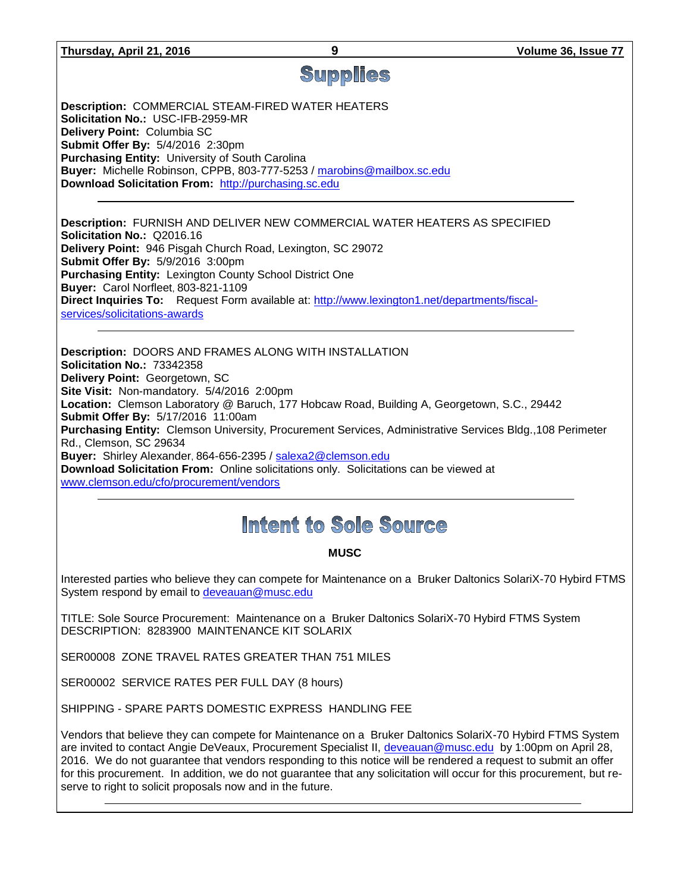# Supplies

**Description:** COMMERCIAL STEAM-FIRED WATER HEATERS **Solicitation No.:** USC-IFB-2959-MR **Delivery Point:** Columbia SC **Submit Offer By:** 5/4/2016 2:30pm **Purchasing Entity:** University of South Carolina **Buyer:** Michelle Robinson, CPPB, 803-777-5253 / [marobins@mailbox.sc.edu](mailto:marobins@mailbox.sc.edu) **Download Solicitation From:** [http://purchasing.sc.edu](http://purchasing.sc.edu/)

**Description:** FURNISH AND DELIVER NEW COMMERCIAL WATER HEATERS AS SPECIFIED **Solicitation No.:** Q2016.16 **Delivery Point:** 946 Pisgah Church Road, Lexington, SC 29072 **Submit Offer By:** 5/9/2016 3:00pm **Purchasing Entity:** Lexington County School District One **Buyer:** Carol Norfleet, 803-821-1109 **Direct Inquiries To:** Request Form available at: [http://www.lexington1.net/departments/fiscal](http://www.lexington1.net/departments/fiscal-services/solicitations-awards)[services/solicitations-awards](http://www.lexington1.net/departments/fiscal-services/solicitations-awards)

**Description:** DOORS AND FRAMES ALONG WITH INSTALLATION **Solicitation No.:** 73342358 **Delivery Point:** Georgetown, SC **Site Visit:** Non-mandatory. 5/4/2016 2:00pm **Location:** Clemson Laboratory @ Baruch, 177 Hobcaw Road, Building A, Georgetown, S.C., 29442 **Submit Offer By:** 5/17/2016 11:00am **Purchasing Entity:** Clemson University, Procurement Services, Administrative Services Bldg.,108 Perimeter Rd., Clemson, SC 29634 **Buyer:** Shirley Alexander, 864-656-2395 / [salexa2@clemson.edu](mailto:salexa2@clemson.edu) **Download Solicitation From:** Online solicitations only. Solicitations can be viewed at [www.clemson.edu/cfo/procurement/vendors](http://www.clemson.edu/cfo/procurement/vendors)

## Intent to Sole Source

### **MUSC**

Interested parties who believe they can compete for Maintenance on a Bruker Daltonics SolariX-70 Hybird FTMS System respond by email to [deveauan@musc.edu](mailto:deveauan@musc.edu)

TITLE: Sole Source Procurement: Maintenance on a Bruker Daltonics SolariX-70 Hybird FTMS System DESCRIPTION: 8283900 MAINTENANCE KIT SOLARIX

SER00008 ZONE TRAVEL RATES GREATER THAN 751 MILES

SER00002 SERVICE RATES PER FULL DAY (8 hours)

SHIPPING - SPARE PARTS DOMESTIC EXPRESS HANDLING FEE

Vendors that believe they can compete for Maintenance on a Bruker Daltonics SolariX-70 Hybird FTMS System are invited to contact Angie DeVeaux, Procurement Specialist II, [deveauan@musc.edu](mailto:deveauan@musc.edu) by 1:00pm on April 28, 2016. We do not guarantee that vendors responding to this notice will be rendered a request to submit an offer for this procurement. In addition, we do not guarantee that any solicitation will occur for this procurement, but reserve to right to solicit proposals now and in the future.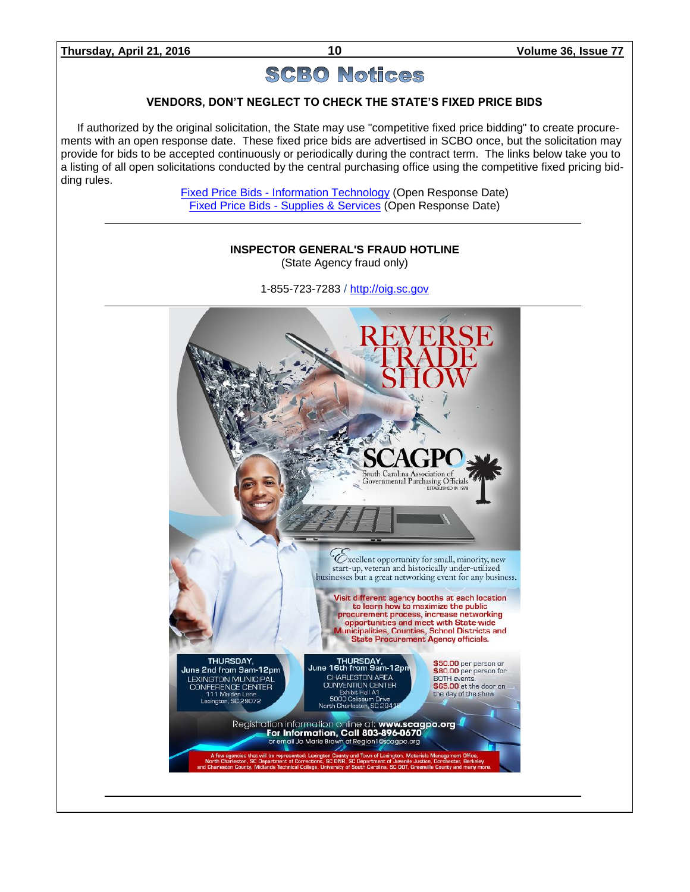## **SCBO Notices**

### **VENDORS, DON'T NEGLECT TO CHECK THE STATE'S FIXED PRICE BIDS**

If authorized by the original solicitation, the State may use "competitive fixed price bidding" to create procurements with an open response date. These fixed price bids are advertised in SCBO once, but the solicitation may provide for bids to be accepted continuously or periodically during the contract term. The links below take you to a listing of all open solicitations conducted by the central purchasing office using the competitive fixed pricing bidding rules.

> Fixed Price Bids - [Information Technology](http://www.mmo.sc.gov/PS/vendor/PS-vendor-fixed-price-bids-it.phtm) (Open Response Date) Fixed Price Bids - [Supplies & Services](http://www.mmo.sc.gov/PS/vendor/PS-vendor-fixed-price-bids-ss.phtm) (Open Response Date)

## **INSPECTOR GENERAL'S FRAUD HOTLINE** (State Agency fraud only) 1-855-723-7283 / [http://oig.sc.gov](http://oig.sc.gov/)South Carolina Association of Governmental Purchasing Officials Cxcellent opportunity for small, minority, new start-up, veteran and historically under-utilized businesses but a great networking event for any business. Visit different agency booths at each location to learn how to maximize the public procurement process, increase networking<br>opportunities and meet with State-wide<br>Municipalities, Counties, School Districts and **State Procurement Agency officials.** THURSDAY. THURSDAY,<br>June 16th from 9am-12pm \$50.00 per person or June 2nd from 9am-12pm \$80.00 per person for LEXINGTON MUNICIPAL<br>CONFERENCE CENTER<br>111 Maiden Lane<br>Lexington, SC 29072 CHARLESTON AREA **BOTH** events. **CONVENTION CENTER** \$65.00 at the door on Exhibit Hall A1<br>5000 Coliseum Drive the day of the show North Charleston, SC 294 Registration information online at: www.scagpo.org<br>For Information, Call 803-896-0670<br>or email Jo Marie Brown at Region1@scagpo.org